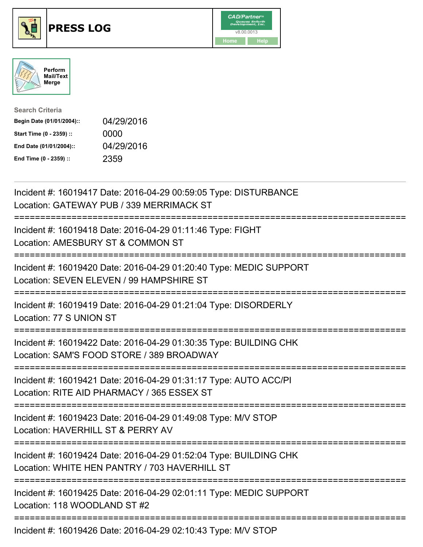

## **PRESS LOG** v8.00.0013





| <b>Search Criteria</b>    |            |
|---------------------------|------------|
| Begin Date (01/01/2004):: | 04/29/2016 |
| Start Time (0 - 2359) ::  | 0000       |
| End Date (01/01/2004)::   | 04/29/2016 |
| End Time (0 - 2359) ::    | 2359       |

Incident #: 16019417 Date: 2016-04-29 00:59:05 Type: DISTURBANCE Location: GATEWAY PUB / 339 MERRIMACK ST =========================================================================== Incident #: 16019418 Date: 2016-04-29 01:11:46 Type: FIGHT Location: AMESBURY ST & COMMON ST =========================================================================== Incident #: 16019420 Date: 2016-04-29 01:20:40 Type: MEDIC SUPPORT Location: SEVEN ELEVEN / 99 HAMPSHIRE ST =========================================================================== Incident #: 16019419 Date: 2016-04-29 01:21:04 Type: DISORDERLY Location: 77 S UNION ST =========================================================================== Incident #: 16019422 Date: 2016-04-29 01:30:35 Type: BUILDING CHK Location: SAM'S FOOD STORE / 389 BROADWAY =========================================================================== Incident #: 16019421 Date: 2016-04-29 01:31:17 Type: AUTO ACC/PI Location: RITE AID PHARMACY / 365 ESSEX ST =========================================================================== Incident #: 16019423 Date: 2016-04-29 01:49:08 Type: M/V STOP Location: HAVERHILL ST & PERRY AV =========================================================================== Incident #: 16019424 Date: 2016-04-29 01:52:04 Type: BUILDING CHK Location: WHITE HEN PANTRY / 703 HAVERHILL ST =========================================================================== Incident #: 16019425 Date: 2016-04-29 02:01:11 Type: MEDIC SUPPORT Location: 118 WOODLAND ST #2 ===========================================================================

Incident #: 16019426 Date: 2016-04-29 02:10:43 Type: M/V STOP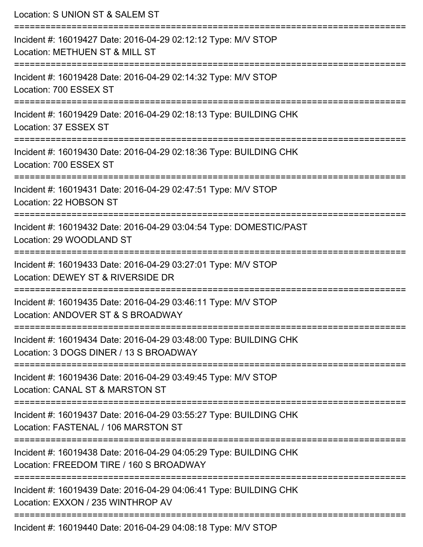| Location: S UNION ST & SALEM ST                                                                              |
|--------------------------------------------------------------------------------------------------------------|
| Incident #: 16019427 Date: 2016-04-29 02:12:12 Type: M/V STOP<br>Location: METHUEN ST & MILL ST              |
| Incident #: 16019428 Date: 2016-04-29 02:14:32 Type: M/V STOP<br>Location: 700 ESSEX ST                      |
| Incident #: 16019429 Date: 2016-04-29 02:18:13 Type: BUILDING CHK<br>Location: 37 ESSEX ST                   |
| Incident #: 16019430 Date: 2016-04-29 02:18:36 Type: BUILDING CHK<br>Location: 700 ESSEX ST                  |
| Incident #: 16019431 Date: 2016-04-29 02:47:51 Type: M/V STOP<br>Location: 22 HOBSON ST                      |
| Incident #: 16019432 Date: 2016-04-29 03:04:54 Type: DOMESTIC/PAST<br>Location: 29 WOODLAND ST               |
| Incident #: 16019433 Date: 2016-04-29 03:27:01 Type: M/V STOP<br>Location: DEWEY ST & RIVERSIDE DR           |
| Incident #: 16019435 Date: 2016-04-29 03:46:11 Type: M/V STOP<br>Location: ANDOVER ST & S BROADWAY           |
| Incident #: 16019434 Date: 2016-04-29 03:48:00 Type: BUILDING CHK<br>Location: 3 DOGS DINER / 13 S BROADWAY  |
| Incident #: 16019436 Date: 2016-04-29 03:49:45 Type: M/V STOP<br>Location: CANAL ST & MARSTON ST             |
| Incident #: 16019437 Date: 2016-04-29 03:55:27 Type: BUILDING CHK<br>Location: FASTENAL / 106 MARSTON ST     |
| Incident #: 16019438 Date: 2016-04-29 04:05:29 Type: BUILDING CHK<br>Location: FREEDOM TIRE / 160 S BROADWAY |
| Incident #: 16019439 Date: 2016-04-29 04:06:41 Type: BUILDING CHK<br>Location: EXXON / 235 WINTHROP AV       |
| <u>Incident #: 16010440 Date: 2016-04-20 04:08:18 Tyne: MAI STOP</u>                                         |

Incident #: 16019440 Date: 2016-04-29 04:08:18 Type: M/V STOP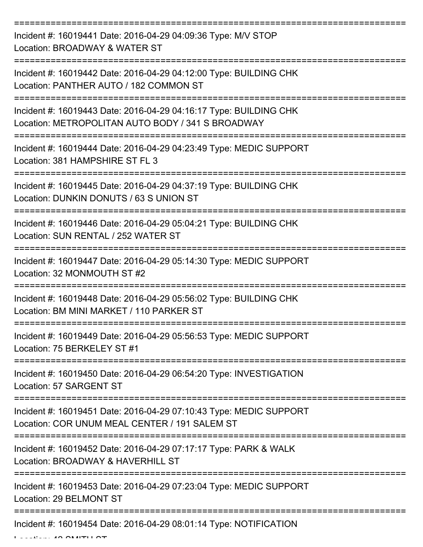| Incident #: 16019441 Date: 2016-04-29 04:09:36 Type: M/V STOP<br>Location: BROADWAY & WATER ST                         |
|------------------------------------------------------------------------------------------------------------------------|
| Incident #: 16019442 Date: 2016-04-29 04:12:00 Type: BUILDING CHK<br>Location: PANTHER AUTO / 182 COMMON ST            |
| Incident #: 16019443 Date: 2016-04-29 04:16:17 Type: BUILDING CHK<br>Location: METROPOLITAN AUTO BODY / 341 S BROADWAY |
| Incident #: 16019444 Date: 2016-04-29 04:23:49 Type: MEDIC SUPPORT<br>Location: 381 HAMPSHIRE ST FL 3                  |
| Incident #: 16019445 Date: 2016-04-29 04:37:19 Type: BUILDING CHK<br>Location: DUNKIN DONUTS / 63 S UNION ST           |
| Incident #: 16019446 Date: 2016-04-29 05:04:21 Type: BUILDING CHK<br>Location: SUN RENTAL / 252 WATER ST               |
| Incident #: 16019447 Date: 2016-04-29 05:14:30 Type: MEDIC SUPPORT<br>Location: 32 MONMOUTH ST #2                      |
| Incident #: 16019448 Date: 2016-04-29 05:56:02 Type: BUILDING CHK<br>Location: BM MINI MARKET / 110 PARKER ST          |
| Incident #: 16019449 Date: 2016-04-29 05:56:53 Type: MEDIC SUPPORT<br>Location: 75 BERKELEY ST #1                      |
| Incident #: 16019450 Date: 2016-04-29 06:54:20 Type: INVESTIGATION<br>Location: 57 SARGENT ST                          |
| Incident #: 16019451 Date: 2016-04-29 07:10:43 Type: MEDIC SUPPORT<br>Location: COR UNUM MEAL CENTER / 191 SALEM ST    |
| Incident #: 16019452 Date: 2016-04-29 07:17:17 Type: PARK & WALK<br>Location: BROADWAY & HAVERHILL ST                  |
| Incident #: 16019453 Date: 2016-04-29 07:23:04 Type: MEDIC SUPPORT<br>Location: 29 BELMONT ST                          |
| Incident #: 16019454 Date: 2016-04-29 08:01:14 Type: NOTIFICATION                                                      |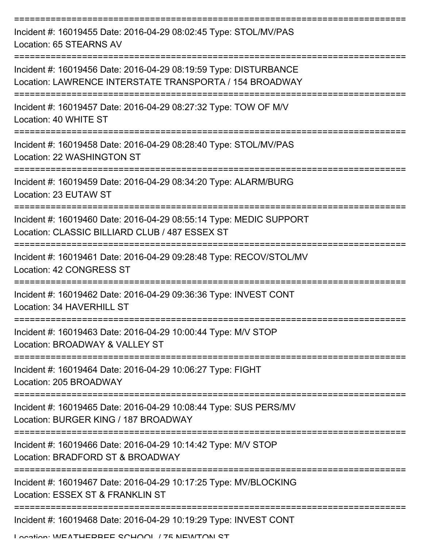| Incident #: 16019455 Date: 2016-04-29 08:02:45 Type: STOL/MV/PAS<br>Location: 65 STEARNS AV                                      |
|----------------------------------------------------------------------------------------------------------------------------------|
| Incident #: 16019456 Date: 2016-04-29 08:19:59 Type: DISTURBANCE<br>Location: LAWRENCE INTERSTATE TRANSPORTA / 154 BROADWAY      |
| Incident #: 16019457 Date: 2016-04-29 08:27:32 Type: TOW OF M/V<br>Location: 40 WHITE ST                                         |
| Incident #: 16019458 Date: 2016-04-29 08:28:40 Type: STOL/MV/PAS<br>Location: 22 WASHINGTON ST                                   |
| Incident #: 16019459 Date: 2016-04-29 08:34:20 Type: ALARM/BURG<br>Location: 23 EUTAW ST<br>==================================== |
| Incident #: 16019460 Date: 2016-04-29 08:55:14 Type: MEDIC SUPPORT<br>Location: CLASSIC BILLIARD CLUB / 487 ESSEX ST             |
| Incident #: 16019461 Date: 2016-04-29 09:28:48 Type: RECOV/STOL/MV<br><b>Location: 42 CONGRESS ST</b><br>==============          |
| Incident #: 16019462 Date: 2016-04-29 09:36:36 Type: INVEST CONT<br>Location: 34 HAVERHILL ST                                    |
| Incident #: 16019463 Date: 2016-04-29 10:00:44 Type: M/V STOP<br>Location: BROADWAY & VALLEY ST                                  |
| Incident #: 16019464 Date: 2016-04-29 10:06:27 Type: FIGHT<br>Location: 205 BROADWAY                                             |
| ====================<br>Incident #: 16019465 Date: 2016-04-29 10:08:44 Type: SUS PERS/MV<br>Location: BURGER KING / 187 BROADWAY |
| Incident #: 16019466 Date: 2016-04-29 10:14:42 Type: M/V STOP<br>Location: BRADFORD ST & BROADWAY                                |
| Incident #: 16019467 Date: 2016-04-29 10:17:25 Type: MV/BLOCKING<br>Location: ESSEX ST & FRANKLIN ST                             |
| Incident #: 16019468 Date: 2016-04-29 10:19:29 Type: INVEST CONT                                                                 |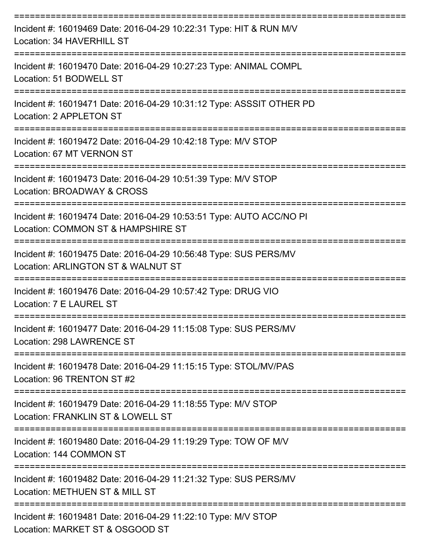| Incident #: 16019469 Date: 2016-04-29 10:22:31 Type: HIT & RUN M/V<br>Location: 34 HAVERHILL ST                       |
|-----------------------------------------------------------------------------------------------------------------------|
| Incident #: 16019470 Date: 2016-04-29 10:27:23 Type: ANIMAL COMPL<br>Location: 51 BODWELL ST                          |
| Incident #: 16019471 Date: 2016-04-29 10:31:12 Type: ASSSIT OTHER PD<br>Location: 2 APPLETON ST                       |
| Incident #: 16019472 Date: 2016-04-29 10:42:18 Type: M/V STOP<br>Location: 67 MT VERNON ST                            |
| Incident #: 16019473 Date: 2016-04-29 10:51:39 Type: M/V STOP<br>Location: BROADWAY & CROSS                           |
| Incident #: 16019474 Date: 2016-04-29 10:53:51 Type: AUTO ACC/NO PI<br>Location: COMMON ST & HAMPSHIRE ST             |
| Incident #: 16019475 Date: 2016-04-29 10:56:48 Type: SUS PERS/MV<br>Location: ARLINGTON ST & WALNUT ST                |
| Incident #: 16019476 Date: 2016-04-29 10:57:42 Type: DRUG VIO<br>Location: 7 E LAUREL ST                              |
| --------------------<br>Incident #: 16019477 Date: 2016-04-29 11:15:08 Type: SUS PERS/MV<br>Location: 298 LAWRENCE ST |
| Incident #: 16019478 Date: 2016-04-29 11:15:15 Type: STOL/MV/PAS<br>Location: 96 TRENTON ST #2                        |
| Incident #: 16019479 Date: 2016-04-29 11:18:55 Type: M/V STOP<br>Location: FRANKLIN ST & LOWELL ST                    |
| Incident #: 16019480 Date: 2016-04-29 11:19:29 Type: TOW OF M/V<br>Location: 144 COMMON ST                            |
| Incident #: 16019482 Date: 2016-04-29 11:21:32 Type: SUS PERS/MV<br>Location: METHUEN ST & MILL ST                    |
| Incident #: 16019481 Date: 2016-04-29 11:22:10 Type: M/V STOP<br>Location: MARKET ST & OSGOOD ST                      |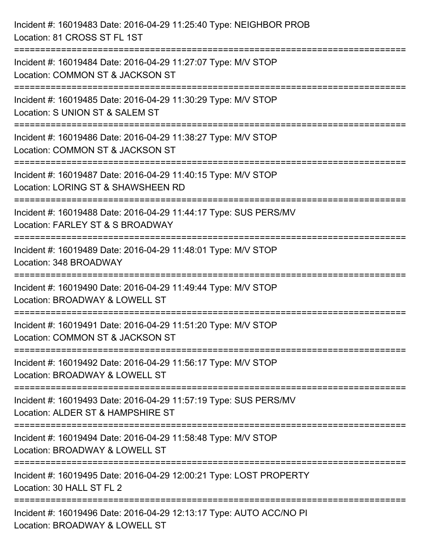| Incident #: 16019483 Date: 2016-04-29 11:25:40 Type: NEIGHBOR PROB<br>Location: 81 CROSS ST FL 1ST                                    |
|---------------------------------------------------------------------------------------------------------------------------------------|
| Incident #: 16019484 Date: 2016-04-29 11:27:07 Type: M/V STOP<br>Location: COMMON ST & JACKSON ST                                     |
| Incident #: 16019485 Date: 2016-04-29 11:30:29 Type: M/V STOP<br>Location: S UNION ST & SALEM ST<br>================================  |
| Incident #: 16019486 Date: 2016-04-29 11:38:27 Type: M/V STOP<br>Location: COMMON ST & JACKSON ST                                     |
| Incident #: 16019487 Date: 2016-04-29 11:40:15 Type: M/V STOP<br>Location: LORING ST & SHAWSHEEN RD<br>============================== |
| Incident #: 16019488 Date: 2016-04-29 11:44:17 Type: SUS PERS/MV<br>Location: FARLEY ST & S BROADWAY                                  |
| Incident #: 16019489 Date: 2016-04-29 11:48:01 Type: M/V STOP<br>Location: 348 BROADWAY                                               |
| Incident #: 16019490 Date: 2016-04-29 11:49:44 Type: M/V STOP<br>Location: BROADWAY & LOWELL ST                                       |
| Incident #: 16019491 Date: 2016-04-29 11:51:20 Type: M/V STOP<br>Location: COMMON ST & JACKSON ST                                     |
| Incident #: 16019492 Date: 2016-04-29 11:56:17 Type: M/V STOP<br>Location: BROADWAY & LOWELL ST                                       |
| Incident #: 16019493 Date: 2016-04-29 11:57:19 Type: SUS PERS/MV<br>Location: ALDER ST & HAMPSHIRE ST                                 |
| Incident #: 16019494 Date: 2016-04-29 11:58:48 Type: M/V STOP<br>Location: BROADWAY & LOWELL ST                                       |
| Incident #: 16019495 Date: 2016-04-29 12:00:21 Type: LOST PROPERTY<br>Location: 30 HALL ST FL 2                                       |
| Incident #: 16019496 Date: 2016-04-29 12:13:17 Type: AUTO ACC/NO PI<br>Location: BROADWAY & LOWELL ST                                 |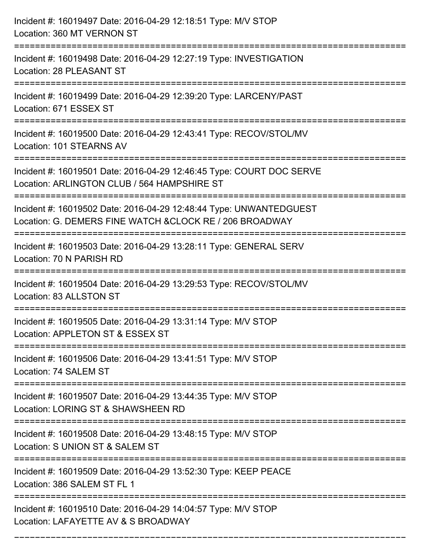| Incident #: 16019497 Date: 2016-04-29 12:18:51 Type: M/V STOP<br>Location: 360 MT VERNON ST                                                       |
|---------------------------------------------------------------------------------------------------------------------------------------------------|
| Incident #: 16019498 Date: 2016-04-29 12:27:19 Type: INVESTIGATION<br>Location: 28 PLEASANT ST                                                    |
| Incident #: 16019499 Date: 2016-04-29 12:39:20 Type: LARCENY/PAST<br>Location: 671 ESSEX ST                                                       |
| Incident #: 16019500 Date: 2016-04-29 12:43:41 Type: RECOV/STOL/MV<br>Location: 101 STEARNS AV                                                    |
| Incident #: 16019501 Date: 2016-04-29 12:46:45 Type: COURT DOC SERVE<br>Location: ARLINGTON CLUB / 564 HAMPSHIRE ST<br>========================== |
| Incident #: 16019502 Date: 2016-04-29 12:48:44 Type: UNWANTEDGUEST<br>Location: G. DEMERS FINE WATCH &CLOCK RE / 206 BROADWAY                     |
| Incident #: 16019503 Date: 2016-04-29 13:28:11 Type: GENERAL SERV<br>Location: 70 N PARISH RD                                                     |
| Incident #: 16019504 Date: 2016-04-29 13:29:53 Type: RECOV/STOL/MV<br>Location: 83 ALLSTON ST                                                     |
| Incident #: 16019505 Date: 2016-04-29 13:31:14 Type: M/V STOP<br>Location: APPLETON ST & ESSEX ST                                                 |
| Incident #: 16019506 Date: 2016-04-29 13:41:51 Type: M/V STOP<br>Location: 74 SALEM ST                                                            |
| Incident #: 16019507 Date: 2016-04-29 13:44:35 Type: M/V STOP<br>Location: LORING ST & SHAWSHEEN RD                                               |
| Incident #: 16019508 Date: 2016-04-29 13:48:15 Type: M/V STOP<br>Location: S UNION ST & SALEM ST                                                  |
| Incident #: 16019509 Date: 2016-04-29 13:52:30 Type: KEEP PEACE<br>Location: 386 SALEM ST FL 1                                                    |
| Incident #: 16019510 Date: 2016-04-29 14:04:57 Type: M/V STOP<br>Location: LAFAYETTE AV & S BROADWAY                                              |

===========================================================================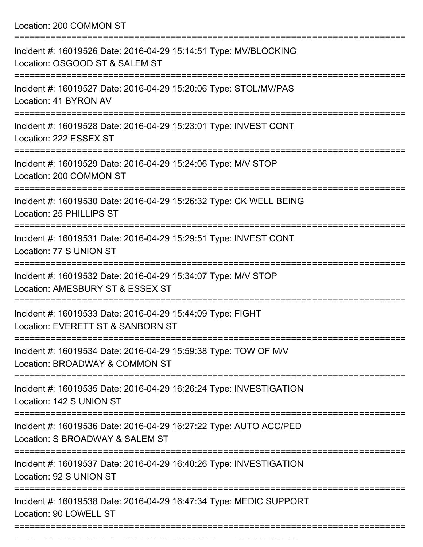Location: 200 COMMON ST

| Incident #: 16019526 Date: 2016-04-29 15:14:51 Type: MV/BLOCKING<br>Location: OSGOOD ST & SALEM ST   |
|------------------------------------------------------------------------------------------------------|
| Incident #: 16019527 Date: 2016-04-29 15:20:06 Type: STOL/MV/PAS<br>Location: 41 BYRON AV            |
| Incident #: 16019528 Date: 2016-04-29 15:23:01 Type: INVEST CONT<br>Location: 222 ESSEX ST           |
| Incident #: 16019529 Date: 2016-04-29 15:24:06 Type: M/V STOP<br>Location: 200 COMMON ST             |
| Incident #: 16019530 Date: 2016-04-29 15:26:32 Type: CK WELL BEING<br>Location: 25 PHILLIPS ST       |
| Incident #: 16019531 Date: 2016-04-29 15:29:51 Type: INVEST CONT<br>Location: 77 S UNION ST          |
| Incident #: 16019532 Date: 2016-04-29 15:34:07 Type: M/V STOP<br>Location: AMESBURY ST & ESSEX ST    |
| Incident #: 16019533 Date: 2016-04-29 15:44:09 Type: FIGHT<br>Location: EVERETT ST & SANBORN ST      |
| Incident #: 16019534 Date: 2016-04-29 15:59:38 Type: TOW OF M/V<br>Location: BROADWAY & COMMON ST    |
| Incident #: 16019535 Date: 2016-04-29 16:26:24 Type: INVESTIGATION<br>Location: 142 S UNION ST       |
| Incident #: 16019536 Date: 2016-04-29 16:27:22 Type: AUTO ACC/PED<br>Location: S BROADWAY & SALEM ST |
| Incident #: 16019537 Date: 2016-04-29 16:40:26 Type: INVESTIGATION<br>Location: 92 S UNION ST        |
| Incident #: 16019538 Date: 2016-04-29 16:47:34 Type: MEDIC SUPPORT<br>Location: 90 LOWELL ST         |
|                                                                                                      |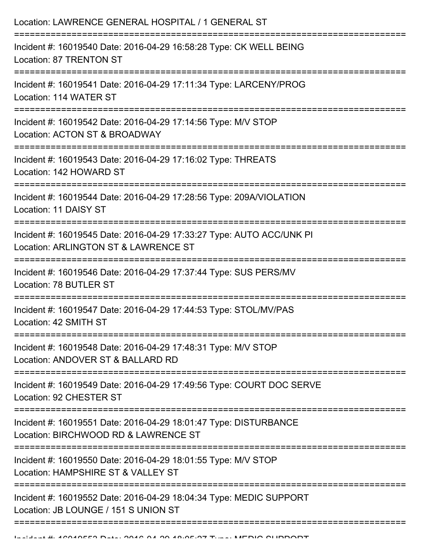| Location: LAWRENCE GENERAL HOSPITAL / 1 GENERAL ST                                                           |
|--------------------------------------------------------------------------------------------------------------|
| Incident #: 16019540 Date: 2016-04-29 16:58:28 Type: CK WELL BEING<br>Location: 87 TRENTON ST                |
| Incident #: 16019541 Date: 2016-04-29 17:11:34 Type: LARCENY/PROG<br>Location: 114 WATER ST                  |
| Incident #: 16019542 Date: 2016-04-29 17:14:56 Type: M/V STOP<br>Location: ACTON ST & BROADWAY               |
| Incident #: 16019543 Date: 2016-04-29 17:16:02 Type: THREATS<br>Location: 142 HOWARD ST                      |
| Incident #: 16019544 Date: 2016-04-29 17:28:56 Type: 209A/VIOLATION<br>Location: 11 DAISY ST                 |
| Incident #: 16019545 Date: 2016-04-29 17:33:27 Type: AUTO ACC/UNK PI<br>Location: ARLINGTON ST & LAWRENCE ST |
| Incident #: 16019546 Date: 2016-04-29 17:37:44 Type: SUS PERS/MV<br>Location: 78 BUTLER ST                   |
| Incident #: 16019547 Date: 2016-04-29 17:44:53 Type: STOL/MV/PAS<br>Location: 42 SMITH ST                    |
| Incident #: 16019548 Date: 2016-04-29 17:48:31 Type: M/V STOP<br>Location: ANDOVER ST & BALLARD RD           |
| Incident #: 16019549 Date: 2016-04-29 17:49:56 Type: COURT DOC SERVE<br>Location: 92 CHESTER ST              |
| Incident #: 16019551 Date: 2016-04-29 18:01:47 Type: DISTURBANCE<br>Location: BIRCHWOOD RD & LAWRENCE ST     |
| Incident #: 16019550 Date: 2016-04-29 18:01:55 Type: M/V STOP<br>Location: HAMPSHIRE ST & VALLEY ST          |
| Incident #: 16019552 Date: 2016-04-29 18:04:34 Type: MEDIC SUPPORT<br>Location: JB LOUNGE / 151 S UNION ST   |
|                                                                                                              |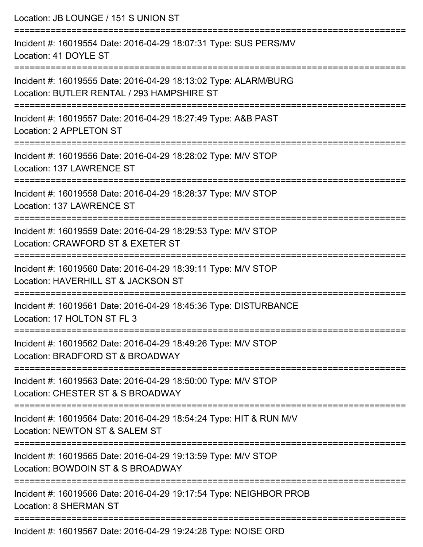| Location: JB LOUNGE / 151 S UNION ST                                                                                               |
|------------------------------------------------------------------------------------------------------------------------------------|
| Incident #: 16019554 Date: 2016-04-29 18:07:31 Type: SUS PERS/MV<br>Location: 41 DOYLE ST                                          |
| Incident #: 16019555 Date: 2016-04-29 18:13:02 Type: ALARM/BURG<br>Location: BUTLER RENTAL / 293 HAMPSHIRE ST                      |
| Incident #: 16019557 Date: 2016-04-29 18:27:49 Type: A&B PAST<br>Location: 2 APPLETON ST                                           |
| Incident #: 16019556 Date: 2016-04-29 18:28:02 Type: M/V STOP<br>Location: 137 LAWRENCE ST                                         |
| Incident #: 16019558 Date: 2016-04-29 18:28:37 Type: M/V STOP<br>Location: 137 LAWRENCE ST                                         |
| Incident #: 16019559 Date: 2016-04-29 18:29:53 Type: M/V STOP<br>Location: CRAWFORD ST & EXETER ST                                 |
| Incident #: 16019560 Date: 2016-04-29 18:39:11 Type: M/V STOP<br>Location: HAVERHILL ST & JACKSON ST                               |
| Incident #: 16019561 Date: 2016-04-29 18:45:36 Type: DISTURBANCE<br>Location: 17 HOLTON ST FL 3                                    |
| =============================<br>Incident #: 16019562 Date: 2016-04-29 18:49:26 Type: M/V STOP<br>Location: BRADFORD ST & BROADWAY |
| Incident #: 16019563 Date: 2016-04-29 18:50:00 Type: M/V STOP<br>Location: CHESTER ST & S BROADWAY                                 |
| Incident #: 16019564 Date: 2016-04-29 18:54:24 Type: HIT & RUN M/V<br>Location: NEWTON ST & SALEM ST                               |
| Incident #: 16019565 Date: 2016-04-29 19:13:59 Type: M/V STOP<br>Location: BOWDOIN ST & S BROADWAY                                 |
| Incident #: 16019566 Date: 2016-04-29 19:17:54 Type: NEIGHBOR PROB<br><b>Location: 8 SHERMAN ST</b>                                |
|                                                                                                                                    |

Incident #: 16019567 Date: 2016-04-29 19:24:28 Type: NOISE ORD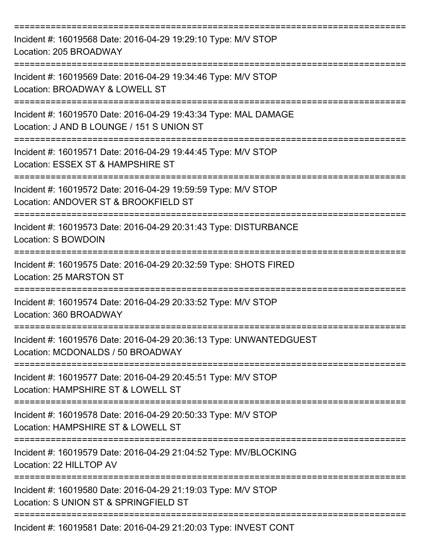| Incident #: 16019568 Date: 2016-04-29 19:29:10 Type: M/V STOP<br>Location: 205 BROADWAY                                   |
|---------------------------------------------------------------------------------------------------------------------------|
| Incident #: 16019569 Date: 2016-04-29 19:34:46 Type: M/V STOP<br>Location: BROADWAY & LOWELL ST                           |
| Incident #: 16019570 Date: 2016-04-29 19:43:34 Type: MAL DAMAGE<br>Location: J AND B LOUNGE / 151 S UNION ST              |
| Incident #: 16019571 Date: 2016-04-29 19:44:45 Type: M/V STOP<br>Location: ESSEX ST & HAMPSHIRE ST                        |
| Incident #: 16019572 Date: 2016-04-29 19:59:59 Type: M/V STOP<br>Location: ANDOVER ST & BROOKFIELD ST                     |
| =================<br>Incident #: 16019573 Date: 2016-04-29 20:31:43 Type: DISTURBANCE<br>Location: S BOWDOIN              |
| Incident #: 16019575 Date: 2016-04-29 20:32:59 Type: SHOTS FIRED<br>Location: 25 MARSTON ST                               |
| Incident #: 16019574 Date: 2016-04-29 20:33:52 Type: M/V STOP<br>Location: 360 BROADWAY                                   |
| --------------<br>Incident #: 16019576 Date: 2016-04-29 20:36:13 Type: UNWANTEDGUEST<br>Location: MCDONALDS / 50 BROADWAY |
| Incident #: 16019577 Date: 2016-04-29 20:45:51 Type: M/V STOP<br>Location: HAMPSHIRE ST & LOWELL ST                       |
| Incident #: 16019578 Date: 2016-04-29 20:50:33 Type: M/V STOP<br>Location: HAMPSHIRE ST & LOWELL ST                       |
| Incident #: 16019579 Date: 2016-04-29 21:04:52 Type: MV/BLOCKING<br>Location: 22 HILLTOP AV                               |
| Incident #: 16019580 Date: 2016-04-29 21:19:03 Type: M/V STOP<br>Location: S UNION ST & SPRINGFIELD ST                    |
| Incident #: 16019581 Date: 2016-04-29 21:20:03 Type: INVEST CONT                                                          |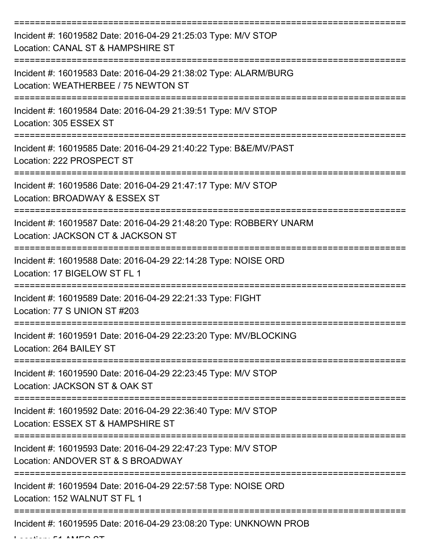| Incident #: 16019582 Date: 2016-04-29 21:25:03 Type: M/V STOP<br>Location: CANAL ST & HAMPSHIRE ST                  |
|---------------------------------------------------------------------------------------------------------------------|
| Incident #: 16019583 Date: 2016-04-29 21:38:02 Type: ALARM/BURG<br>Location: WEATHERBEE / 75 NEWTON ST              |
| Incident #: 16019584 Date: 2016-04-29 21:39:51 Type: M/V STOP<br>Location: 305 ESSEX ST                             |
| Incident #: 16019585 Date: 2016-04-29 21:40:22 Type: B&E/MV/PAST<br>Location: 222 PROSPECT ST                       |
| Incident #: 16019586 Date: 2016-04-29 21:47:17 Type: M/V STOP<br>Location: BROADWAY & ESSEX ST                      |
| Incident #: 16019587 Date: 2016-04-29 21:48:20 Type: ROBBERY UNARM<br>Location: JACKSON CT & JACKSON ST             |
| Incident #: 16019588 Date: 2016-04-29 22:14:28 Type: NOISE ORD<br>Location: 17 BIGELOW ST FL 1                      |
| Incident #: 16019589 Date: 2016-04-29 22:21:33 Type: FIGHT<br>Location: 77 S UNION ST #203                          |
| Incident #: 16019591 Date: 2016-04-29 22:23:20 Type: MV/BLOCKING<br>Location: 264 BAILEY ST                         |
| =================<br>Incident #: 16019590 Date: 2016-04-29 22:23:45 Type: M/V STOP<br>Location: JACKSON ST & OAK ST |
| Incident #: 16019592 Date: 2016-04-29 22:36:40 Type: M/V STOP<br>Location: ESSEX ST & HAMPSHIRE ST                  |
| Incident #: 16019593 Date: 2016-04-29 22:47:23 Type: M/V STOP<br>Location: ANDOVER ST & S BROADWAY                  |
| Incident #: 16019594 Date: 2016-04-29 22:57:58 Type: NOISE ORD<br>Location: 152 WALNUT ST FL 1                      |
| Incident #: 16019595 Date: 2016-04-29 23:08:20 Type: UNKNOWN PROB                                                   |